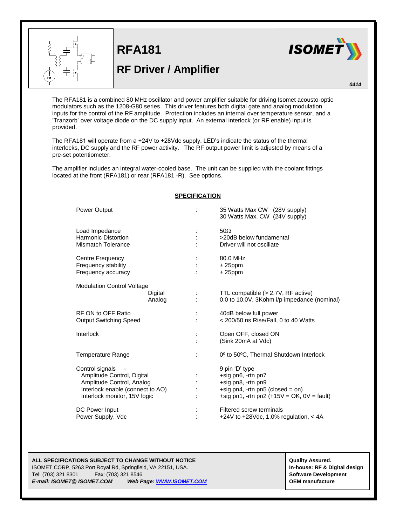

**RFA181**

## **RF Driver / Amplifier**



*0414*

The RFA181 is a combined 80 MHz oscillator and power amplifier suitable for driving Isomet acousto-optic modulators such as the 1208-G80 series. This driver features both digital gate and analog modulation inputs for the control of the RF amplitude. Protection includes an internal over temperature sensor, and a 'Tranzorb' over voltage diode on the DC supply input. An external interlock (or RF enable) input is provided.

The RFA181 will operate from a +24V to +28Vdc supply. LED's indicate the status of the thermal interlocks, DC supply and the RF power activity. The RF output power limit is adjusted by means of a pre-set potentiometer.

The amplifier includes an integral water-cooled base. The unit can be supplied with the coolant fittings located at the front (RFA181) or rear (RFA181 -R). See options.

| <b>Power Output</b>                                                                                                                            |                   |                      | 35 Watts Max CW (28V supply)<br>30 Watts Max. CW (24V supply)                                                                                  |
|------------------------------------------------------------------------------------------------------------------------------------------------|-------------------|----------------------|------------------------------------------------------------------------------------------------------------------------------------------------|
| Load Impedance<br>Harmonic Distortion<br><b>Mismatch Tolerance</b>                                                                             |                   |                      | $50\Omega$<br>>20dB below fundamental<br>Driver will not oscillate                                                                             |
| Centre Frequency<br>Frequency stability<br>Frequency accuracy                                                                                  |                   |                      | 80.0 MHz<br>$± 25$ ppm<br>$± 25$ ppm                                                                                                           |
| <b>Modulation Control Voltage</b>                                                                                                              | Digital<br>Analog |                      | TTL compatible (> 2.7V, RF active)<br>0.0 to 10.0V, 3Kohm i/p impedance (nominal)                                                              |
| RF ON to OFF Ratio<br><b>Output Switching Speed</b>                                                                                            |                   |                      | 40dB below full power<br>$<$ 200/50 ns Rise/Fall, 0 to 40 Watts                                                                                |
| Interlock                                                                                                                                      |                   |                      | Open OFF, closed ON<br>(Sink 20mA at Vdc)                                                                                                      |
| Temperature Range                                                                                                                              |                   | $\ddot{\phantom{a}}$ | 0 <sup>o</sup> to 50°C, Thermal Shutdown Interlock                                                                                             |
| Control signals<br>Amplitude Control, Digital<br>Amplitude Control, Analog<br>Interlock enable (connect to AO)<br>Interlock monitor, 15V logic |                   |                      | 9 pin 'D' type<br>+sig pn6, -rtn pn7<br>+sig pn8, -rtn pn9<br>+sig pn4, -rtn pn5 (closed = on)<br>+sig pn1, -rtn pn2 $(+15V = OK, 0V = fault)$ |
| DC Power Input<br>Power Supply, Vdc                                                                                                            |                   |                      | Filtered screw terminals<br>+24V to +28Vdc, 1.0% regulation, $<$ 4A                                                                            |

## **SPECIFICATION**

ISOMET CORP, 5263 Port Royal Rd, Springfield, VA 22151, USA. **In-house: RF & Digital design** Tel: (703) 321 8301 Fax: (703) 321 8546 **Software Development** *E-mail: ISOMET@ ISOMET.COM Web Page[: WWW.ISOMET.COM](http://www.isomet.com/)* **OEM manufacture**

**ALL SPECIFICATIONS SUBJECT TO CHANGE WITHOUT ASSURED.**